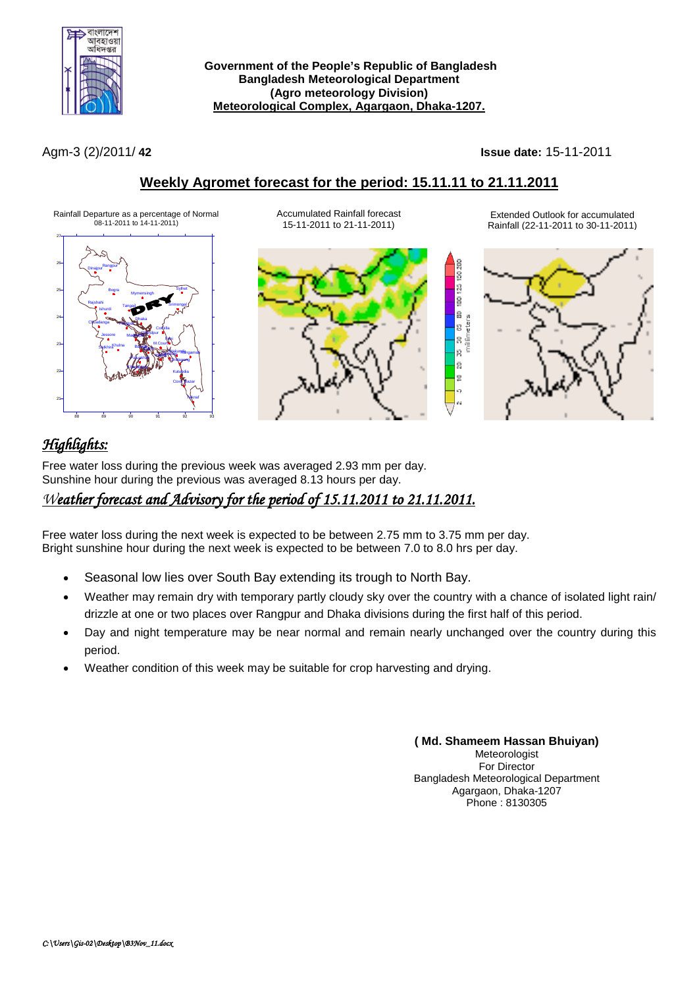

**Government of the People's Republic of Bangladesh Bangladesh Meteorological Department (Agro meteorology Division) Meteorological Complex, Agargaon, Dhaka-1207.**

Agm-3 (2)/2011/ **42 Issue date:** 15-11-2011

ë ġ ġ à

g.

g

 $\overline{a}$ in.

# **Weekly Agromet forecast for the period: 15.11.11 to 21.11.2011**

Rainfall Departure as a percentage of Normal 08-11-2011 to 14-11-2011)



Accumulated Rainfall forecast 15-11-2011 to 21-11-2011)



Extended Outlook for accumulated Rainfall (22-11-2011 to 30-11-2011)



# *Highlights:*

Free water loss during the previous week was averaged 2.93 mm per day. Sunshine hour during the previous was averaged 8.13 hours per day.

# *Weather forecast and Advisory for the period of 15.11.2011 to 21.11.2011.*

Free water loss during the next week is expected to be between 2.75 mm to 3.75 mm per day. Bright sunshine hour during the next week is expected to be between 7.0 to 8.0 hrs per day.

- Seasonal low lies over South Bay extending its trough to North Bay.
- Weather may remain dry with temporary partly cloudy sky over the country with a chance of isolated light rain/ drizzle at one or two places over Rangpur and Dhaka divisions during the first half of this period.
- Day and night temperature may be near normal and remain nearly unchanged over the country during this period.
- Weather condition of this week may be suitable for crop harvesting and drying.

**( Md. Shameem Hassan Bhuiyan) Meteorologist** For Director Bangladesh Meteorological Department Agargaon, Dhaka-1207 Phone : 8130305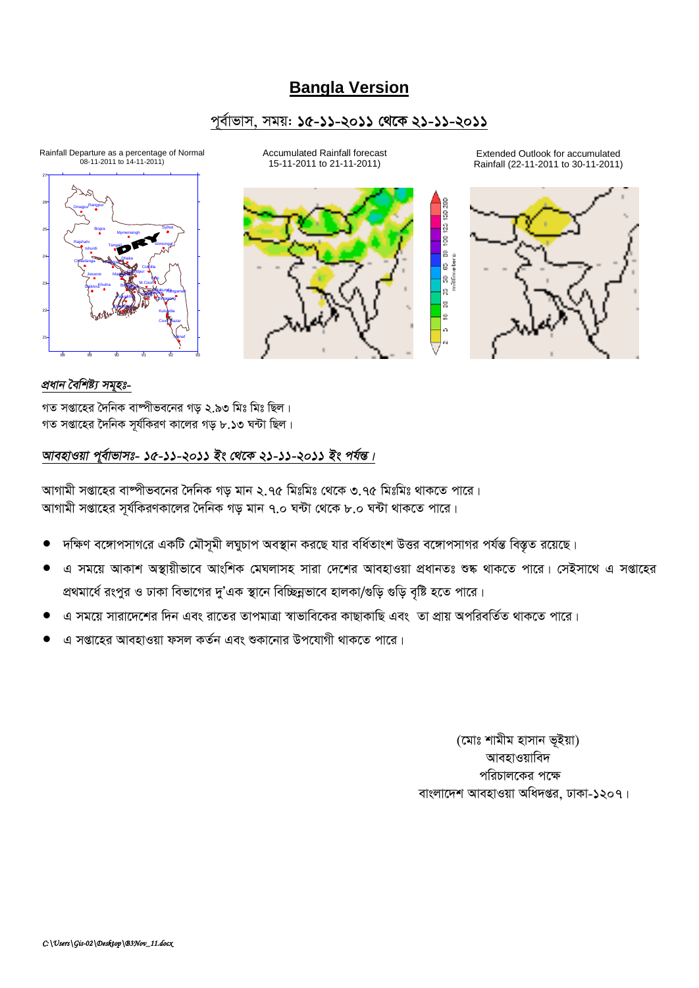# **Bangla Version**

### পূর্বাভাস, সময়: ১৫-১১-২০১১ থেকে ২১-১১-২০১১

Rainfall Departure as a percentage of Normal<br>08-11-2011 to 14-11-2011)



Accumulated Rainfall forecast 15-11-2011 to 21-11-2011)



Extended Outlook for accumulated Rainfall (22-11-2011 to 30-11-2011)



### প্ৰধান বৈশিষ্ট্য সমূহঃ-

গত সপ্তাহের দৈনিক বাম্পীভবনের গড় ২.৯৩ মিঃ মিঃ ছিল। গত সপ্তাহের দৈনিক সূর্যকিরণ কালের গড় ৮.১৩ ঘন্টা ছিল।

### আবহাওয়া পূর্বাভাসঃ- ১৫-১১-২০১১ ইং থেকে ২১-১১-২০১১ ইং পর্যন্ত।

আগামী সপ্তাহের বাষ্পীভবনের দৈনিক গড মান ২.৭৫ মিঃমিঃ থেকে ৩.৭৫ মিঃমিঃ থাকতে পারে। আগামী সপ্তাহের সর্যকিরণকালের দৈনিক গড় মান ৭.০ ঘন্টা থেকে ৮.০ ঘন্টা থাকতে পারে।

- দক্ষিণ বঙ্গোপসাগরে একটি মৌসূমী লঘুচাপ অবস্থান করছে যার বর্ধিতাংশ উত্তর বঙ্গোপসাগর পর্যন্ত বিস্তৃত রয়েছে।
- এ সময়ে আকাশ অস্থায়ীভাবে আংশিক মেঘলাসহ সারা দেশের আবহাওয়া প্রধানতঃ শুষ্ক থাকতে পারে। সেইসাথে এ সপ্তাহের প্রথমার্ধে রংপুর ও ঢাকা বিভাগের দু'এক স্থানে বিচ্ছিন্নভাবে হালকা/গুড়ি গুড়ি বৃষ্টি হতে পারে।
- এ সময়ে সারাদেশের দিন এবং রাতের তাপমাত্রা স্বাভাবিকের কাছাকাছি এবং তা প্রায় অপরিবর্তিত থাকতে পারে।
- এ সপ্তাহের আবহাওয়া ফসল কর্তন এবং শুকানোর উপযোগী থাকতে পারে।

(মোঃ শামীম হাসান ভৃইয়া) আবহাওয়াবিদ পরিচালকের পক্ষে বাংলাদেশ আবহাওয়া অধিদপ্তর, ঢাকা-১২০৭।